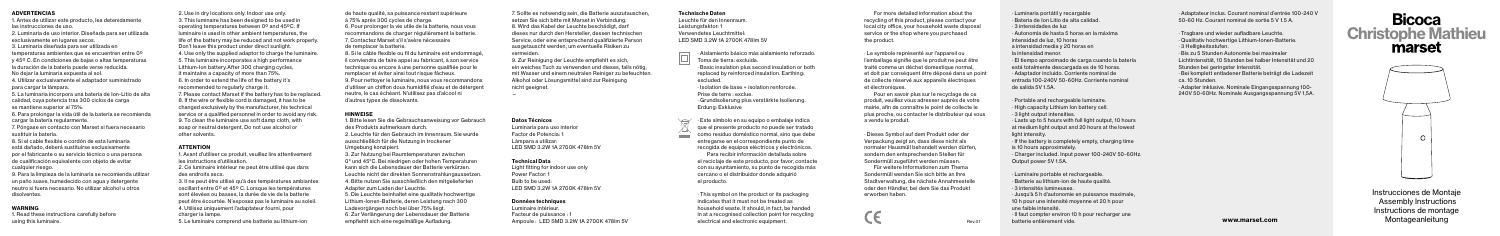Instrucciones de Montaje Assembly Instructions Instructions de montage Montageanleitung

· Luminaria portátil y recargable · Bateria de Ion Litio de alta calidad. · 3 intensidades de luz · Autonomía de hasta 5 horas en la máxima intensidad de luz, 10 horas a intensidad media y 20 horas en la intensidad menor. · El tiempo aproximado de carga cuando la batería está totalmente descargada es de 10 horas. · Adaptador incluido. Corriente nominal de entrada 100-240V 50-60Hz. Corriente nominal de salida 5V 1.5A.

· Portable and rechargeable luminaire. · High capacity Lithium Ion battery cell. · 3 light output intensities. · Lasts up to 5 hours with full light output, 10 hours at medium light output and 20 hours at the lowest

light intensity.

· If the battery is completely empty, charging time is 10 hours approximately. · Charger included. Input power 100-240V 50-60Hz. Output power 5V 1.5A.

· Luminaire portable et rechargeable. · Batterie au lithium-ion de haute qualité. · 3 intensités lumineuses. · Jusqu'à 5 h d'autonomie en puissance maximale, 10 h pour une intensité moyenne et 20 h pour une faible intensité. · Il faut compter environ 10 h pour recharger une batterie entièrement vide.

#### ADVERTENCIAS

1. Antes de utilizar este producto, lea detenidamente las instrucciones de uso.

> 3. Il ne peut être utilisé qu'à des températures ambiantes oscillant entre 0º et 45º C. Lorsque les températures sont élevées ou basses, la durée de vie de la batterie peut être écourtée. N'exposez pas le luminaire au soleil. 4. Utilisez uniquement l'adaptateur fourni, pour charger la lampe.

- 2. Luminaria de uso interior. Diseñada para ser utilizada exclusivamente en lugares secos.
- 3. Luminaria diseñada para ser utilizada en temperaturas ambientes que se encuentren entre 0º y 45º C. En condiciones de bajas o altas temperaturas la duración de la batería puede verse reducida.
- No dejar la luminaria expuesta al sol.
- 4. Utilizar exclusivamente el adaptador suministrado para cargar la lámpara.
- 5. La luminaria incorpora una batería de Ion-Litio de alta calidad, cuya potencia tras 300 ciclos de carga se mantiene superior al 75%.
- 6. Para prolongar la vida útil de la batería se recomienda cargar la batería regularmente.
- 7. Póngase en contacto con Marset si fuera necesario sustituir la batería.
- 8. Si el cable flexible o cordón de esta luminaria está dañado, deberá sustituirse exclusivamente por el fabricante o su servicio técnico o una persona de cualificación equivalente con objeto de evitar cualquier riesgo.
- 9. Para la limpieza de la luminaria se recomienda utilizar un paño suave, humedecido con agua y detergente neutro si fuera necesario. No utilizar alcohol u otros disolventes.
- 1. Bitte lesen Sie die Gebrauchsanweisung vor Gebrauch des Produkts aufmerksam durch.
- 2. Leuchte für den Gebrauch im Innenraum. Sie wurde ausschließlich für die Nutzung in trockener Umgebung konzipiert.
- 3. Zur Nutzung bei Raumtemperaturen zwischen
- 0° und 45°C. Bei niedrigen oder hohen Temperaturen kann sich die Lebensdauer der Batterie verkürzen.
- Leuchte nicht der direkten Sonnenstrahlungaussetzen.
- 4. Bitte nutzen Sie ausschließlich den mitgelieferten Adapter zum Laden der Leuchte.
- 5. Die Leuchte beinhaltet eine qualitativ hochwertige Lithium-Ionen-Batterie, deren Leistung nach 300 Ladevorgängen noch bei über 75% liegt.
- 6. Zur Verlängerung der Lebensdauer der Batterie empfiehlt sich eine regelmäßige Aufladung. Nampoule : LED SMD 3.2W 1A 2700K 478lm 5V electrical and electronic equipment.

# WARNING

1. Read these instructions carefully before using this luminaire.

2. Use in dry locations only. Indoor use only. 3. This luminaire has been designed to be used in operating temperatures between 0º and 45ºC. If luminaire is used in other ambient temperatures, the life of the battery may be reduced and not work properly. Don't leave this product under direct sunlight. 4. Use only the supplied adaptor to charge the luminaire. 5. This luminaire incorporates a high performance Lithium-Ion battery.After 300 charging cycles, it maintains a capacity of more than 75%. 6. In order to extend the life of the battery it's recommended to regularly charge it.

> Luminaire intérieur. Facteur de puissance :

7. Please contact Marset if the battery has to be replaced. 8. If the wire or flexible cord is damaged, it has to be changed exclusively by the manufacturer, his technical service or a qualified personnel in order to avoid any risk 9. To clean the luminaire use soft damp cloth, with soap or neutral detergent. Do not use alcohol or other solvents.

## **ATTENTION**

1. Avant d'utiliser ce produit, veuillez lire attentivement les instructions d'utilisation.

2. Ce luminaire intérieur ne peut être utilisé que dans des endroits secs.

5. Le luminaire comprend une batterie au lithium-ion

de haute qualité, sa puissance restant supérieure à 75% après 300 cycles de charge.

- 6. Pour prolonger la vie utile de la batterie, nous vous recommandons de charger régulièrement la batterie. 7. Contactez Marset s'il s'avère nécessaire de remplacer la batterie.
- 8. Si le câble flexible ou fil du luminaire est endommagé, il conviendra de faire appel au fabricant, à son service technique ou encore à une personne qualifiée pour le remplacer et éviter ainsi tout risque fâcheux.
- 9. Pour nettoyer le luminaire, nous vous recommandons d'utiliser un chiffon doux humidifié d'eau et de détergent neutre, le cas échéant. N'utilisez pas d'alcool ni d'autres types de dissolvants.

### HINWEISE

7. Sollte es notwendig sein, die Batterie auszutauschen, setzen Sie sich bitte mit Marset in Verbindung. 8. Wird das Kabel der Leuchte beschädigt, darf dieses nur durch den Hersteller, dessen technischen Service, oder eine entsprechend qualifizierte Person ausgetauscht werden, um eventuelle Risiken zu vermeiden.

9. Zur Reinigung der Leuchte empfiehlt es sich, ein weiches Tuch zu verwenden und dieses, falls nötig, mit Wasser und einem neutralen Reiniger zu befeuchten. Alkohol oder Lösungsmittel sind zur Reinigung nicht geeignet.

—

#### Datos Técnicos

Luminaria para uso interior Factor de Potencia: Lámpara a utilizar: LED SMD 3.2W 1A 2700K 478lm 5V

#### Technical Data

Light fitting for indoor use only Power Factor: 1 Bulb to be used: LED SMD 3.2W 1A 2700K 478lm 5V

#### Données techniques

· Adaptateur inclus. Courant nominal d'entrée 100-240 V 50-60 Hz. Courant nominal de sortie 5 V 1.5 A.

· Tragbare und wieder aufladbare Leuchte. · Qualitativ hochwertige Lithium-Ionen-Batterie. · 3 Helligkeitsstufen. · Bis zu 5 Stunden Autonomie bei maximaler Lichtintensität, 10 Stunden bei halber Intensität und 20 Stunden bei geringster Intensität. · Bei komplett entladener Batterie beträgt die Ladezeit ca. 10 Stunden. · Adapter inklusive. Nominale Eingangsspannung 100- 240V 50-60Hz. Nominale Ausgangsspannung 5V 1,5A.

# **Bicoca** Christophe Mathieu marset



#### Technische Daten

Leuchte für den Innenraum. Leistungsfaktor: 1 Verwendetes Leuchtmittel: LED SMD 3.2W 1A 2700K 478lm 5V

- · Aislamiento básico más aislamiento reforzado. Toma de tierra: excluida.
- · Basic insulation plus second insulation or both replaced by reinforced insulation. Earthing: excluded.
- · Isolation de base + isolation renforcée. Prise de terre : exclue. · Grundisolierung plus verstärkte Isolierung. Erdung: Exklusive

· Este símbolo en su equipo o embalaje indica que el presente producto no puede ser tratado como residuo doméstico normal, sino que debe  $\sim$ entregarse en el correspondiente punto de recogida de equipos eléctricos y electrónicos. Para recibir información detallada sobre el reciclaje de este producto, por favor, contacte con su ayuntamiento, su punto de recogida más cercano o el distribuidor donde adquirió el producto.

> · This symbol on the product or its packaging indicates that it must not be treated as household waste. It should, in fact, be handed in at a recognised collection point for recycling electrical and electronic equipment.

For more detailed information about the recycling of this product, please contact your local city office, your household waste disposal service or the shop where you purchased the product.

· Le symbole représenté sur l'appareil ou l'emballage signifie que le produit ne peut être traité comme un déchet domestique normal, et doit par conséquent être déposé dans un point de collecte réservé aux appareils électriques et électroniques.

Pour en savoir plus sur le recyclage de ce produit, veuillez vous adresser auprès de votre mairie, afin de connaître le point de collecte le plus proche, ou contacter le distributeur qui vous a vendu le produit.

· Dieses Symbol auf dem Produkt oder der Verpackung zeigt an, dass diese nicht als normaler Hausmüll behandelt werden dürfen, sondern den entsprechenden Stellen für Sondermüll zugeführt werden müssen.

Für weitere Informationen zum Thema Sondermüll wenden Sie sich bitte an Ihre Stadtverwaltung, die nächste Annahmestelle oder den Händler, bei dem Sie das Produkt erworben haben.

www.marset.com